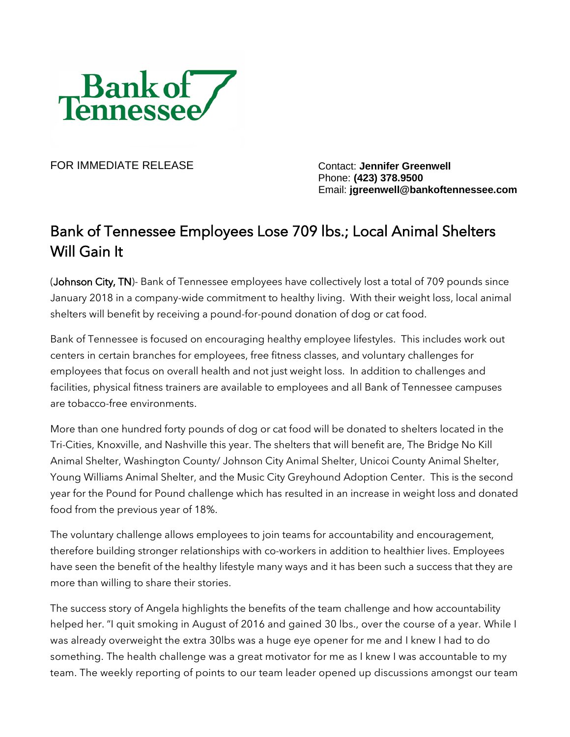

FOR IMMEDIATE RELEASE Contact: **Jennifer Greenwell**

Phone: **(423) 378.9500** Email: **jgreenwell@bankoftennessee.com**

## Bank of Tennessee Employees Lose 709 lbs.; Local Animal Shelters Will Gain It

(Johnson City, TN)- Bank of Tennessee employees have collectively lost a total of 709 pounds since January 2018 in a company-wide commitment to healthy living. With their weight loss, local animal shelters will benefit by receiving a pound-for-pound donation of dog or cat food.

Bank of Tennessee is focused on encouraging healthy employee lifestyles. This includes work out centers in certain branches for employees, free fitness classes, and voluntary challenges for employees that focus on overall health and not just weight loss. In addition to challenges and facilities, physical fitness trainers are available to employees and all Bank of Tennessee campuses are tobacco-free environments.

More than one hundred forty pounds of dog or cat food will be donated to shelters located in the Tri-Cities, Knoxville, and Nashville this year. The shelters that will benefit are, The Bridge No Kill Animal Shelter, Washington County/ Johnson City Animal Shelter, Unicoi County Animal Shelter, Young Williams Animal Shelter, and the Music City Greyhound Adoption Center. This is the second year for the Pound for Pound challenge which has resulted in an increase in weight loss and donated food from the previous year of 18%.

The voluntary challenge allows employees to join teams for accountability and encouragement, therefore building stronger relationships with co-workers in addition to healthier lives. Employees have seen the benefit of the healthy lifestyle many ways and it has been such a success that they are more than willing to share their stories.

The success story of Angela highlights the benefits of the team challenge and how accountability helped her. "I quit smoking in August of 2016 and gained 30 lbs., over the course of a year. While I was already overweight the extra 30lbs was a huge eye opener for me and I knew I had to do something. The health challenge was a great motivator for me as I knew I was accountable to my team. The weekly reporting of points to our team leader opened up discussions amongst our team